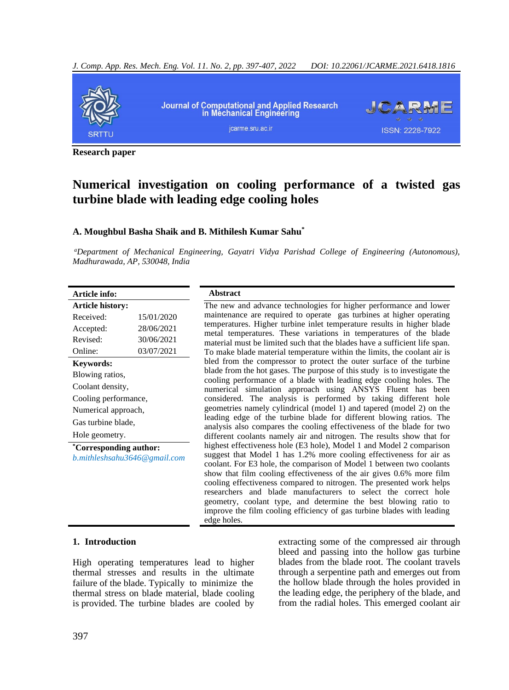

**Research paper**

# **Numerical investigation on cooling performance of a twisted gas turbine blade with leading edge cooling holes**

## **A. Moughbul Basha Shaik and B. Mithilesh Kumar Sahu\***

*<sup>a</sup>Department of Mechanical Engineering, Gayatri Vidya Parishad College of Engineering (Autonomous), Madhurawada, AP, 530048, India* 

#### **Article info: Article history:**

| Article history:             |            |  |  |
|------------------------------|------------|--|--|
| Received:                    | 15/01/2020 |  |  |
| Accepted:                    | 28/06/2021 |  |  |
| Revised <sup>.</sup>         | 30/06/2021 |  |  |
| Online:                      | 03/07/2021 |  |  |
| <b>Keywords:</b>             |            |  |  |
| Blowing ratios,              |            |  |  |
| Coolant density,             |            |  |  |
| Cooling performance,         |            |  |  |
| Numerical approach,          |            |  |  |
| Gas turbine blade,           |            |  |  |
| Hole geometry.               |            |  |  |
| *Corresponding author:       |            |  |  |
| b.mithleshsahu3646@gmail.com |            |  |  |
|                              |            |  |  |
|                              |            |  |  |
|                              |            |  |  |

#### **Abstract**

The new and advance technologies for higher performance and lower maintenance are required to operate gas turbines at higher operating temperatures. Higher turbine inlet temperature results in higher blade metal temperatures. These variations in temperatures of the blade material must be limited such that the blades have a sufficient life span. To make blade material temperature within the limits, the coolant air is bled from the compressor to protect the outer surface of the turbine blade from the hot gases. The purpose of this study is to investigate the cooling performance of a blade with leading edge cooling holes. The numerical simulation approach using ANSYS Fluent has been considered. The analysis is performed by taking different hole geometries namely cylindrical (model 1) and tapered (model 2) on the leading edge of the turbine blade for different blowing ratios. The analysis also compares the cooling effectiveness of the blade for two different coolants namely air and nitrogen. The results show that for highest effectiveness hole (E3 hole), Model 1 and Model 2 comparison suggest that Model 1 has 1.2% more cooling effectiveness for air as coolant. For E3 hole, the comparison of Model 1 between two coolants show that film cooling effectiveness of the air gives 0.6% more film cooling effectiveness compared to nitrogen. The presented work helps researchers and blade manufacturers to select the correct hole geometry, coolant type, and determine the best blowing ratio to improve the film cooling efficiency of gas turbine blades with leading edge holes.

#### **1. Introduction**

High operating temperatures lead to higher thermal stresses and results in the ultimate failure of the blade. Typically to minimize the thermal stress on blade material, blade cooling is provided. The turbine blades are cooled by extracting some of the compressed air through bleed and passing into the hollow gas turbine blades from the blade root. The coolant travels through a serpentine path and emerges out from the hollow blade through the holes provided in the leading edge, the periphery of the blade, and from the radial holes. This emerged coolant air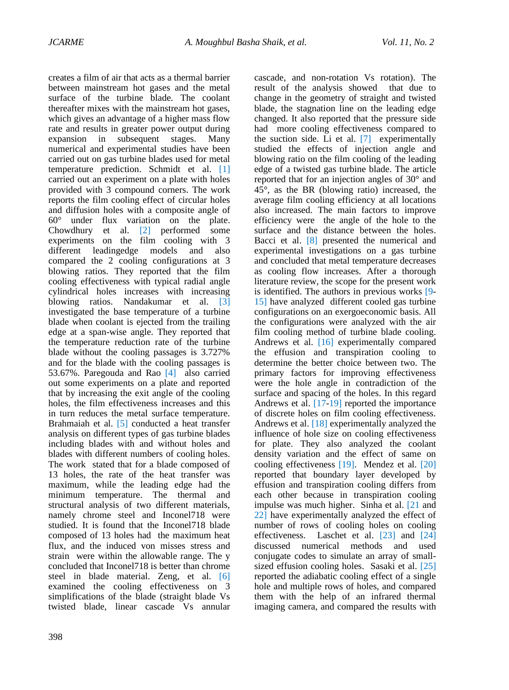creates a film of air that acts as a thermal barrier between mainstream hot gases and the metal surface of the turbine blade. The coolant thereafter mixes with the mainstream hot gases, which gives an advantage of a higher mass flow rate and results in greater power output during expansion in subsequent stages. Many numerical and experimental studies have been carried out on gas turbine blades used for metal temperature prediction. Schmidt et al. [\[1\]](#page-8-0) carried out an experiment on a plate with holes provided with 3 compound corners. The work reports the film cooling effect of circular holes and diffusion holes with a composite angle of 60° under flux variation on the plate. Chowdhury et al. [\[2\]](#page-8-1) performed some experiments on the film cooling with 3 different leadingedge models and also compared the 2 cooling configurations at 3 blowing ratios. They reported that the film cooling effectiveness with typical radial angle cylindrical holes increases with increasing bl[owing](#page-8-2) ratios. Nandakumar et al. [3] investigated the base temperature of a turbine blade when coolant is ejected from the trailing edge at a span-wise angle. They reported that the temperature reduction rate of the turbine blade without the cooling passages is 3.727% and for the blade with the cooling passages is 53.67%. Paregou[da a](#page-8-3)nd Rao [4] also carried out some experiments on a plate and reported that by increasing the exit angle of the cooling holes, the film effectiveness increases and this in turn reduces the metal surface temperature. Brahmaiah et al. [\[5\]](#page-8-4) conducted a heat transfer analysis on different types of gas turbine blades including blades with and without holes and blades with different numbers of cooling holes. The work stated that for a blade composed of 13 holes, the rate of the heat transfer was maximum, while the leading edge had the minimum temperature. The thermal and structural analysis of two different materials, namely chrome steel and Inconel718 were studied. It is found that the Inconel718 blade composed of 13 holes had the maximum heat flux, and the induced von misses stress and strain were within the allowable range. The y concluded that Inconel718 is better than chrome steel in blade material. Zeng, et al. [\[6\]](#page-8-5) examined the cooling effectiveness on 3 simplifications of the blade (straight blade Vs twisted blade, linear cascade Vs annular

398

cascade, and non-rotation Vs rotation). The result of the analysis showed that due to change in the geometry of straight and twisted blade, the stagnation line on the leading edge changed. It also reported that the pressure side had more cooling effectiveness compared to the suction side. Li et al. [7] experiment[ally](#page-8-6) studied the effects of injection angle and blowing ratio on the film cooling of the leading edge of a twisted gas turbine blade. The article reported that for an injection angles of 30° and 45°, as the BR (blowing ratio) increased, the average film cooling efficiency at all locations also increased. The main factors to improve efficiency were the angle of the hole to the surface and the distance between the holes. Bacci et al. [8] p[rese](#page-8-7)nted the numerical and experimental investigations on a gas turbine and concluded that metal temperature decreases as cooling flow increases. After a thorough literature review, the scope for the present work is identified. The authors in previous works [9- 15] have analy[zed](#page-8-8) [diff](#page-9-0)erent cooled gas turbine configurations on an exergoeconomic basis. All the configurations were analyzed with the air film cooling method of turbine blade cooling. Andrews et al. [16] experimentally com[pared](#page-9-1)  the effusion and transpiration cooling to determine the better choice between two. The primary factors for improving effectiveness were the hole angle in contradiction of the surface and spacing of the holes. In this regard Andrews et al. [17-19] reported the im[porta](#page-9-2)[nce](#page-9-3)  of discrete holes on film cooling effectiveness. Andrews et al. [18] experimentally analyze[d the](#page-9-4)  influence of hole size on cooling effectiveness for plate. They also analyzed the coolant density variation and the effect of same on cooling effectiveness [19]. Mendez et al[. \[20\]](#page-9-3) reported that [bou](#page-9-5)ndary layer developed by effusion and transpiration cooling differs from each other because in transpiration cooling impulse was much higher. Sinha et al. [21 and [22\]](#page-9-6) hav[e exp](#page-9-7)erimentally analyzed the effect of number of rows of cooling holes on cooling effectiveness. Laschet et al. [23] [and](#page-9-8) [24] [discu](#page-9-9)ssed numerical methods and used conjugate codes to simulate an array of smallsized effusion cooling holes. Sasaki et al. [\[25\]](#page-9-10) reported the adiabatic cooling effect of a single hole and multiple rows of holes, and compared them with the help of an infrared thermal imaging camera, and compared the results with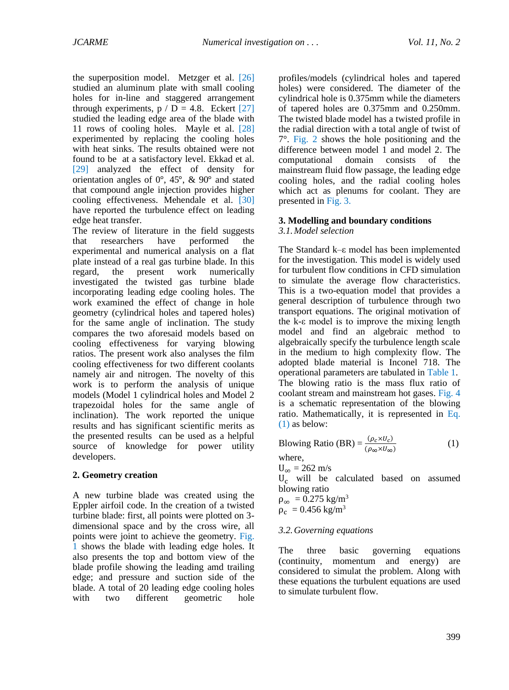the superposition model. Metzger et al. [\[26\]](#page-9-11) studied an aluminum plate with small cooling holes for in-line and staggered arrangement through experiments,  $p / D = 4.8$ . Eckert [\[27\]](#page-9-12) studied the leading edge area of the blade with 11 rows of cooling holes. Mayle et al. [\[28\]](#page-9-13) experimented by replacing the cooling holes with heat sinks. The results obtained were not found to be at a satisfactory level. Ekkad et al. [\[29\]](#page-9-14) analyzed the effect of density for orientation angles of 0°, 45°, & 90° and stated that compound angle injection provides higher cooling effectiveness. Mehendale et al. [\[30\]](#page-9-15) have reported the turbulence effect on leading edge heat transfer.

The review of literature in the field suggests that researchers have performed the experimental and numerical analysis on a flat plate instead of a real gas turbine blade. In this regard, the present work numerically investigated the twisted gas turbine blade incorporating leading edge cooling holes. The work examined the effect of change in hole geometry (cylindrical holes and tapered holes) for the same angle of inclination. The study compares the two aforesaid models based on cooling effectiveness for varying blowing ratios. The present work also analyses the film cooling effectiveness for two different coolants namely air and nitrogen. The novelty of this work is to perform the analysis of unique models (Model 1 cylindrical holes and Model 2 trapezoidal holes for the same angle of inclination). The work reported the unique results and has significant scientific merits as the presented results can be used as a helpful source of knowledge for power utility developers.

# **2. Geometry creation**

A new turbine blade was created using the Eppler airfoil code. In the creation of a twisted turbine blade: first, all points were plotted on 3 dimensional space and by the cross wire, all points were joint to achieve the geometry. [Fig.](#page-3-0)  [1](#page-3-0) shows the blade with leading edge holes. It also presents the top and bottom view of the blade profile showing the leading amd trailing edge; and pressure and suction side of the blade. A total of 20 leading edge cooling holes with two different geometric hole profiles/models (cylindrical holes and tapered holes) were considered. The diameter of the cylindrical hole is 0.375mm while the diameters of tapered holes are 0.375mm and 0.250mm. The twisted blade model has a twisted profile in the radial direction with a total angle of twist of 7°. [Fig. 2](#page-3-1) shows the hole positioning and the difference between model 1 and model 2. The computational domain consists of the mainstream fluid flow passage, the leading edge cooling holes, and the radial cooling holes which act as plenums for coolant. They are presented in [Fig.](#page-3-2) 3.

# **3. Modelling and boundary conditions**

*3.1.Model selection*

The Standard k–ε model has been implemented for the investigation. This model is widely used for turbulent flow conditions in CFD simulation to simulate the average flow characteristics. This is a two-equation model that provides a general description of turbulence through two transport equations. The original motivation of the k-ε model is to improve the mixing length model and find an algebraic method to algebraically specify the turbulence length scale in the medium to high complexity flow. The adopted blade material is Inconel 718. The operational parameters are tabulated in [Table 1.](#page-4-0) The blowing ratio is the mass flux ratio of coolant stream and mainstream hot gases. [Fig.](#page-4-1) 4 is a schematic representation of the blowing ratio. Mathematically, it is represented in [Eq.](#page-2-0)  [\(1\)](#page-2-0) as below:

<span id="page-2-0"></span>
$$
B\text{lowing Ratio (BR)} = \frac{(\rho_c \times U_c)}{(\rho_\infty \times U_\infty)}\tag{1}
$$

where,

 $U_{\infty} = 262$  m/s U<sup>c</sup> will be calculated based on assumed blowing ratio

 $\rho_{\infty} = 0.275$  kg/m<sup>3</sup>  $\rho_c = 0.456 \text{ kg/m}^3$ 

# *3.2.Governing equations*

The three basic governing equations (continuity, momentum and energy) are considered to simulat the problem. Along with these equations the turbulent equations are used to simulate turbulent flow.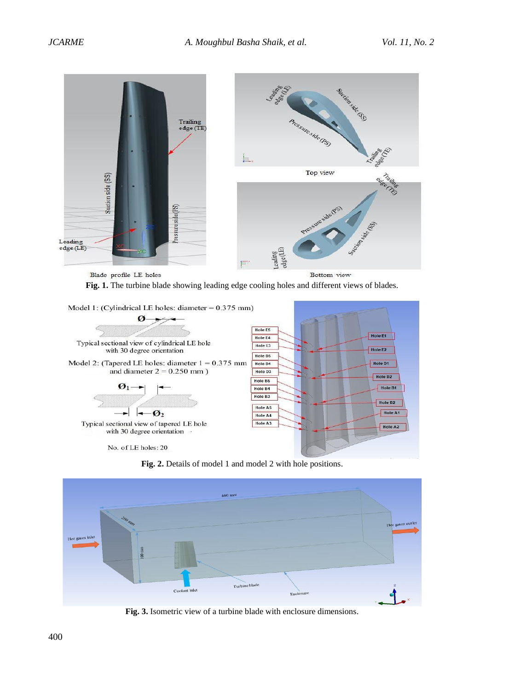



<span id="page-3-0"></span>

**Fig. 2.** Details of model 1 and model 2 with hole positions.

<span id="page-3-1"></span>

<span id="page-3-2"></span>**Fig. 3.** Isometric view of a turbine blade with enclosure dimensions.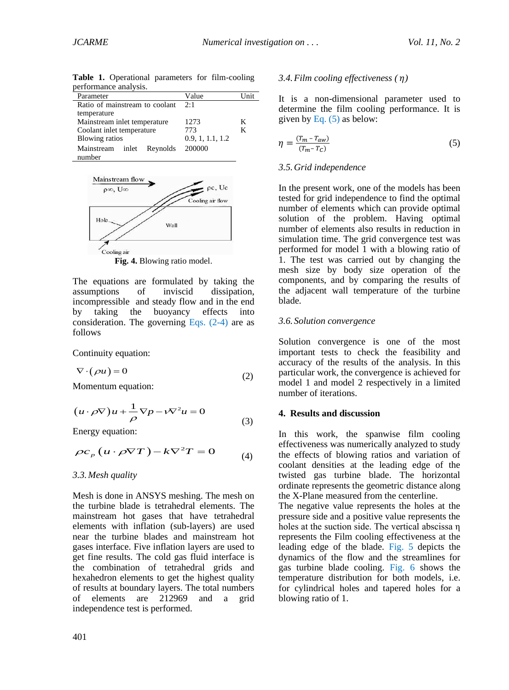| реггоннансе анатуму.           |                  |      |
|--------------------------------|------------------|------|
| Parameter                      | Value            | Unit |
| Ratio of mainstream to coolant | 2:1              |      |
| temperature                    |                  |      |
| Mainstream inlet temperature   | 1273             | K    |
| Coolant inlet temperature      | 773              | K    |
| <b>Blowing ratios</b>          | 0.9, 1, 1.1, 1.2 |      |
| Mainstream inlet Reynolds      | 200000           |      |
| number                         |                  |      |

<span id="page-4-0"></span>**Table 1.** Operational parameters for film-cooling performance analysis.



**Fig. 4.** Blowing ratio model.

<span id="page-4-1"></span>The equations are formulated by taking the assumptions of inviscid dissipation, incompressible and steady flow and in the end by taking the buoyancy effects into consideration. The governing Eqs.  $(2-4)$  are as follows

Continuity equation:

<span id="page-4-2"></span>
$$
\nabla \cdot (\rho u) = 0 \tag{2}
$$

Momentum equation:

$$
\left(u \cdot \rho \nabla\right)u + \frac{1}{\rho} \nabla p - v \nabla^2 u = 0\tag{3}
$$

Energy equation:

$$
\rho c_p (u \cdot \rho \nabla T) - k \nabla^2 T = 0 \tag{4}
$$

#### *3.3.Mesh quality*

Mesh is done in ANSYS meshing. The mesh on the turbine blade is tetrahedral elements. The mainstream hot gases that have tetrahedral elements with inflation (sub-layers) are used near the turbine blades and mainstream hot gases interface. Five inflation layers are used to get fine results. The cold gas fluid interface is the combination of tetrahedral grids and hexahedron elements to get the highest quality of results at boundary layers. The total numbers of elements are 212969 and a grid independence test is performed.

### *3.4.Film cooling effectiveness ( )*

It is a non-dimensional parameter used to determine the film cooling performance. It is given by Eq.  $(5)$  as below:

<span id="page-4-3"></span>
$$
\eta = \frac{(T_m - T_{aw})}{(T_m - T_c)}\tag{5}
$$

#### *3.5.Grid independence*

In the present work, one of the models has been tested for grid independence to find the optimal number of elements which can provide optimal solution of the problem. Having optimal number of elements also results in reduction in simulation time. The grid convergence test was performed for model 1 with a blowing ratio of 1. The test was carried out by changing the mesh size by body size operation of the components, and by comparing the results of the adjacent wall temperature of the turbine blade.

#### *3.6. Solution convergence*

Solution convergence is one of the most important tests to check the feasibility and accuracy of the results of the analysis. In this particular work, the convergence is achieved for model 1 and model 2 respectively in a limited number of iterations.

#### **4. Results and discussion**

In this work, the spanwise film cooling effectiveness was numerically analyzed to study the effects of blowing ratios and variation of coolant densities at the leading edge of the twisted gas turbine blade. The horizontal ordinate represents the geometric distance along the X-Plane measured from the centerline.

The negative value represents the holes at the pressure side and a positive value represents the holes at the suction side. The vertical abscissa η represents the Film cooling effectiveness at the leading edge of the blade. [Fig. 5](#page-5-0) depicts the dynamics of the flow and the streamlines for gas turbine blade cooling. [Fig. 6](#page-5-1) shows the temperature distribution for both models, i.e. for cylindrical holes and tapered holes for a blowing ratio of 1.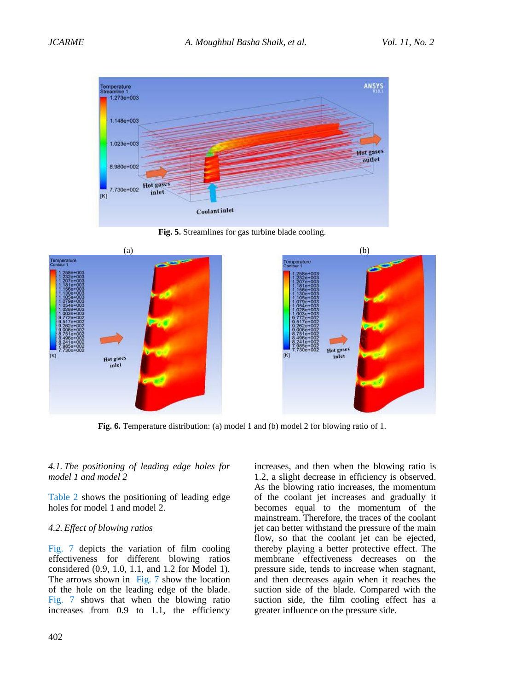

**Fig. 5.** Streamlines for gas turbine blade cooling.

<span id="page-5-0"></span>

**Fig. 6.** Temperature distribution: (a) model 1 and (b) model 2 for blowing ratio of 1.

### <span id="page-5-1"></span>*4.1. The positioning of leading edge holes for model 1 and model 2*

[Table 2](#page-5-2) shows the positioning of leading edge holes for model 1 and model 2.

#### <span id="page-5-2"></span>*4.2. Effect of blowing ratios*

[Fig. 7](#page-7-0) depicts the variation of film cooling effectiveness for different blowing ratios considered (0.9, 1.0, 1.1, and 1.2 for Model 1). The arrows shown in [Fig. 7](#page-7-0) show the location of the hole on the leading edge of the blade. [Fig. 7](#page-7-0) shows that when the blowing ratio increases from 0.9 to 1.1, the efficiency

increases, and then when the blowing ratio is 1.2, a slight decrease in efficiency is observed. As the blowing ratio increases, the momentum of the coolant jet increases and gradually it becomes equal to the momentum of the mainstream. Therefore, the traces of the coolant jet can better withstand the pressure of the main flow, so that the coolant jet can be ejected, thereby playing a better protective effect. The membrane effectiveness decreases on the pressure side, tends to increase when stagnant, and then decreases again when it reaches the suction side of the blade. Compared with the suction side, the film cooling effect has a greater influence on the pressure side.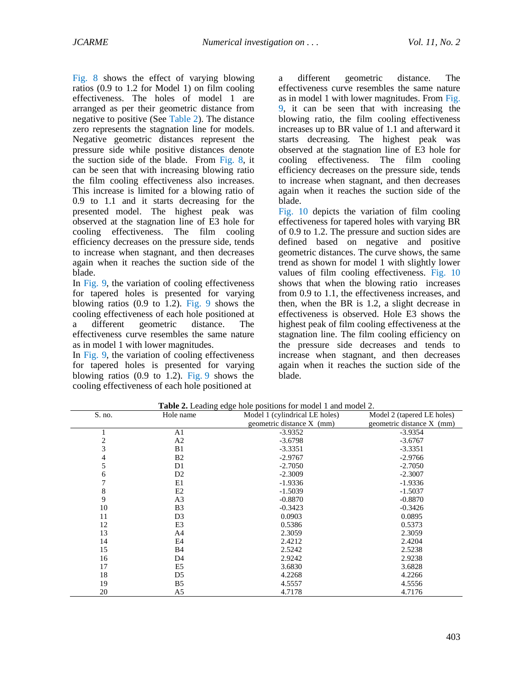[Fig.](#page-7-1) 8 shows the effect of varying blowing ratios (0.9 to 1.2 for Model 1) on film cooling effectiveness. The holes of model 1 are arranged as per their geometric distance from negative to positive (See [Table 2\)](#page-5-2). The distance zero represents the stagnation line for models. Negative geometric distances represent the pressure side while positive distances denote the suction side of the blade. From [Fig. 8,](#page-7-1) it can be seen that with increasing blowing ratio the film cooling effectiveness also increases. This increase is limited for a blowing ratio of 0.9 to 1.1 and it starts decreasing for the presented model. The highest peak was observed at the stagnation line of E3 hole for cooling effectiveness. The film cooling efficiency decreases on the pressure side, tends to increase when stagnant, and then decreases again when it reaches the suction side of the blade.

In [Fig.](#page-7-2) 9, the variation of cooling effectiveness for tapered holes is presented for varying blowing ratios (0.9 to 1.2). [Fig. 9](#page-7-2) shows the cooling effectiveness of each hole positioned at a different geometric distance. The effectiveness curve resembles the same nature as in model 1 with lower magnitudes.

In [Fig.](#page-7-2) 9, the variation of cooling effectiveness for tapered holes is presented for varying blowing ratios  $(0.9 \text{ to } 1.2)$ . [Fig. 9](#page-7-2) shows the cooling effectiveness of each hole positioned at

a different geometric distance. The effectiveness curve resembles the same nature as in model 1 with lower magnitudes. From [Fig.](#page-7-2)  [9,](#page-7-2) it can be seen that with increasing the blowing ratio, the film cooling effectiveness increases up to BR value of 1.1 and afterward it starts decreasing. The highest peak was observed at the stagnation line of E3 hole for cooling effectiveness. The film cooling efficiency decreases on the pressure side, tends to increase when stagnant, and then decreases again when it reaches the suction side of the blade.

[Fig.](#page-7-3) 10 depicts the variation of film cooling effectiveness for tapered holes with varying BR of 0.9 to 1.2. The pressure and suction sides are defined based on negative and positive geometric distances. The curve shows, the same trend as shown for model 1 with slightly lower values of film cooling effectiveness. [Fig. 10](#page-7-3) shows that when the blowing ratio increases from 0.9 to 1.1, the effectiveness increases, and then, when the BR is 1.2, a slight decrease in effectiveness is observed. Hole E3 shows the highest peak of film cooling effectiveness at the stagnation line. The film cooling efficiency on the pressure side decreases and tends to increase when stagnant, and then decreases again when it reaches the suction side of the blade.

| S. no.         | Hole name      | Model 1 (cylindrical LE holes) | Model 2 (tapered LE holes) |
|----------------|----------------|--------------------------------|----------------------------|
|                |                | geometric distance X (mm)      | geometric distance X (mm)  |
|                | A1             | $-3.9352$                      | $-3.9354$                  |
| $\overline{c}$ | A <sub>2</sub> | $-3.6798$                      | $-3.6767$                  |
| 3              | B1             | $-3.3351$                      | $-3.3351$                  |
| 4              | B <sub>2</sub> | $-2.9767$                      | $-2.9766$                  |
| 5              | D <sub>1</sub> | $-2.7050$                      | $-2.7050$                  |
| 6              | D <sub>2</sub> | $-2.3009$                      | $-2.3007$                  |
| 7              | E1             | $-1.9336$                      | $-1.9336$                  |
| 8              | E <sub>2</sub> | $-1.5039$                      | $-1.5037$                  |
| 9              | A <sub>3</sub> | $-0.8870$                      | $-0.8870$                  |
| 10             | B <sub>3</sub> | $-0.3423$                      | $-0.3426$                  |
| 11             | D <sub>3</sub> | 0.0903                         | 0.0895                     |
| 12             | E3             | 0.5386                         | 0.5373                     |
| 13             | A4             | 2.3059                         | 2.3059                     |
| 14             | E4             | 2.4212                         | 2.4204                     |
| 15             | <b>B</b> 4     | 2.5242                         | 2.5238                     |
| 16             | D <sub>4</sub> | 2.9242                         | 2.9238                     |
| 17             | E5             | 3.6830                         | 3.6828                     |
| 18             | D <sub>5</sub> | 4.2268                         | 4.2266                     |
| 19             | B <sub>5</sub> | 4.5557                         | 4.5556                     |
| 20             | A <sub>5</sub> | 4.7178                         | 4.7176                     |

**Table 2.** Leading edge hole positions for model 1 and model 2.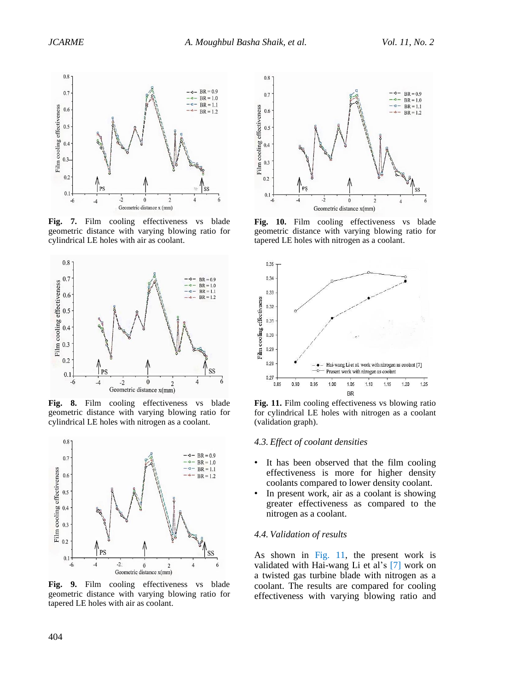

<span id="page-7-0"></span>**Fig. 7.** Film cooling effectiveness vs blade geometric distance with varying blowing ratio for cylindrical LE holes with air as coolant.



<span id="page-7-1"></span>**Fig. 8.** Film cooling effectiveness vs blade geometric distance with varying blowing ratio for cylindrical LE holes with nitrogen as a coolant.



**Fig. 9.** Film cooling effectiveness vs blade geometric distance with varying blowing ratio for tapered LE holes with air as coolant.



<span id="page-7-3"></span>**Fig. 10.** Film cooling effectiveness vs blade geometric distance with varying blowing ratio for tapered LE holes with nitrogen as a coolant.



<span id="page-7-4"></span>Fig. 11. Film cooling effectiveness vs blowing ratio for cylindrical LE holes with nitrogen as a coolant (validation graph).

#### <span id="page-7-2"></span>*4.3. Effect of coolant densities*

- It has been observed that the film cooling effectiveness is more for higher density coolants compared to lower density coolant.
- In present work, air as a coolant is showing greater effectiveness as compared to the nitrogen as a coolant.

#### *4.4. Validation of results*

As shown in [Fig. 11,](#page-7-4) the present work is validated with Hai-wang Li et al's [\[7\]](#page-8-6) work on a twisted gas turbine blade with nitrogen as a coolant. The results are compared for cooling effectiveness with varying blowing ratio and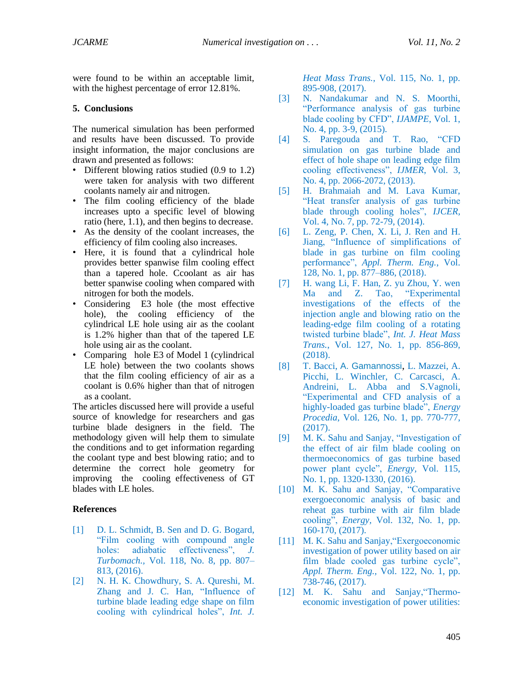were found to be within an acceptable limit, with the highest percentage of error 12.81%.

## **5. Conclusions**

The numerical simulation has been performed and results have been discussed. To provide insight information, the major conclusions are drawn and presented as follows:

- Different blowing ratios studied (0.9 to 1.2) were taken for analysis with two different coolants namely air and nitrogen.
- The film cooling efficiency of the blade increases upto a specific level of blowing ratio (here, 1.1), and then begins to decrease.
- As the density of the coolant increases, the efficiency of film cooling also increases.
- Here, it is found that a cylindrical hole provides better spanwise film cooling effect than a tapered hole. Ccoolant as air has better spanwise cooling when compared with nitrogen for both the models.
- Considering E3 hole (the most effective hole), the cooling efficiency of the cylindrical LE hole using air as the coolant is 1.2% higher than that of the tapered LE hole using air as the coolant.
- Comparing hole E3 of Model 1 (cylindrical LE hole) between the two coolants shows that the film cooling efficiency of air as a coolant is 0.6% higher than that of nitrogen as a coolant.

The articles discussed here will provide a useful source of knowledge for researchers and gas turbine blade designers in the field. The methodology given will help them to simulate the conditions and to get information regarding the coolant type and best blowing ratio; and to determine the correct hole geometry for improving the cooling effectiveness of GT blades with LE holes.

## **References**

- <span id="page-8-0"></span>[1] D. L. Schmidt, B. Sen and D. G. Bogard, "Film cooling with compound angle holes: adiabatic effectiveness", *J. Turbomach.,* Vol. 118, No. 8, pp. 807– 813, (2016).
- <span id="page-8-1"></span>[2] N. H. K. Chowdhury, S. A. Qureshi, M. Zhang and J. C. Han, "Influence of turbine blade leading edge shape on film cooling with cylindrical holes", *Int. J.*

*Heat Mass Trans.*, Vol. 115, No. 1, pp. 895-908, (2017).

- <span id="page-8-2"></span>[3] N. Nandakumar and N. S. Moorthi, "Performance analysis of gas turbine blade cooling by CFD", *IJAMPE*, Vol. 1, No. 4, pp. 3-9, (2015).
- <span id="page-8-3"></span>[4] S. Paregouda and T. Rao, "CFD simulation on gas turbine blade and effect of hole shape on leading edge film cooling effectiveness", *IJMER*, Vol. 3, No. 4, pp. 2066-2072, (2013).
- <span id="page-8-4"></span>[5] H. Brahmaiah and M. Lava Kumar, "Heat transfer analysis of gas turbine blade through cooling holes", *IJCER,*  Vol. 4, No. 7, pp. 72-79, (2014).
- <span id="page-8-5"></span>[6] L. Zeng, P. Chen, X. Li, J. Ren and H. Jiang, "Influence of simplifications of blade in gas turbine on film cooling performance", *Appl. Therm. Eng.*, Vol. 128, No. 1, pp. 877–886, (2018).
- <span id="page-8-6"></span>[7] H. wang Li, F. Han, Z. yu Zhou, Y. wen Ma and Z. Tao, "Experimental investigations of the effects of the injection angle and blowing ratio on the leading-edge film cooling of a rotating twisted turbine blade", *Int. J. Heat Mass Trans.*, Vol. 127, No. 1, pp. 856-869, (2018).
- <span id="page-8-7"></span>[8] T. Bacci, [A. Gamannossi](https://www.sciencedirect.com/science/article/pii/S1876610217337591#!), [L. Mazzei,](https://www.sciencedirect.com/science/article/pii/S1876610217337591#!) [A.](https://www.sciencedirect.com/science/article/pii/S1876610217337591#!)  [Picchi,](https://www.sciencedirect.com/science/article/pii/S1876610217337591#!) [L. Winchler,](https://www.sciencedirect.com/science/article/pii/S1876610217337591#!) [C. Carcasci,](https://www.sciencedirect.com/science/article/pii/S1876610217337591#!) [A.](https://www.sciencedirect.com/science/article/pii/S1876610217337591#!)  [Andreini,](https://www.sciencedirect.com/science/article/pii/S1876610217337591#!) [L. Abba](https://www.sciencedirect.com/science/article/pii/S1876610217337591#!) and [S.Vagnoli,](https://www.sciencedirect.com/science/article/pii/S1876610217337591#!) "Experimental and CFD analysis of a highly-loaded gas turbine blade", *Energy Procedia*, Vol. 126, No. 1, pp. 770-777, (2017).
- <span id="page-8-8"></span>[9] M. K. Sahu and Sanjay, "Investigation of the effect of air film blade cooling on thermoeconomics of gas turbine based power plant cycle", *Energy,* Vol. 115, No. 1, pp. 1320-1330, (2016).
- [10] M. K. Sahu and Sanjay, "Comparative exergoeconomic analysis of basic and reheat gas turbine with air film blade cooling", *Energy,* Vol. 132, No. 1, pp. 160-170, (2017).
- [11] M. K. Sahu and Sanjay, "Exergoeconomic investigation of power utility based on air film blade cooled gas turbine cycle", *Appl. Therm. Eng.,* Vol. 122, No. 1, pp. 738-746, (2017).
- [12] M. K. Sahu and Sanjay,"Thermoeconomic investigation of power utilities: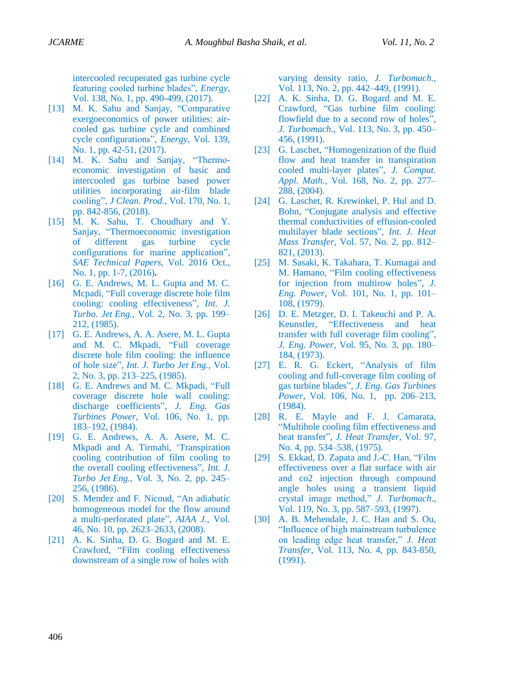intercooled recuperated gas turbine cycle featuring cooled turbine blades", *Energy*, Vol. 138, No. 1, pp. 490-499, (2017).

- [13] M. K. Sahu and Sanjay, "Comparative exergoeconomics of power utilities: aircooled gas turbine cycle and combined cycle configurations", *Energy,* Vol. 139, No. 1, pp. 42-51, (2017).
- [14] M. K. Sahu and Sanjay, "Thermoeconomic investigation of basic and intercooled gas turbine based power utilities incorporating air-film blade cooling", *J Clean. Prod.*, Vol. 170, No. 1, pp. 842-856, (2018).
- <span id="page-9-0"></span>[15] M. K. Sahu, T. Choudhary and Y. Sanjay, "Thermoeconomic investigation of different gas turbine cycle configurations for marine application", *SAE Technical Papers*, Vol. 2016 Oct., No. 1, pp. 1-7, (2016)**.**
- <span id="page-9-1"></span>[16] G. E. Andrews, M. L. Gupta and M. C. Mcpadi, "Full coverage discrete hole film cooling: cooling effectiveness", *Int. J. Turbo. Jet Eng.,* Vol. 2, No. 3, pp. 199– 212, (1985).
- <span id="page-9-2"></span>[17] G. E. Andrews, A. A. Asere, M. L. Gupta and M. C. Mkpadi, "Full coverage discrete hole film cooling: the influence of hole size", *Int. J. Turbo Jet Eng.,* Vol. 2, No. 3, pp. 213–225, (1985).
- <span id="page-9-4"></span>[18] G. E. Andrews and M. C. Mkpadi, "Full coverage discrete hole wall cooling: discharge coefficients", *J. Eng. Gas Turbines Power,* Vol. 106, No. 1, pp. 183–192, (1984).
- <span id="page-9-3"></span>[19] G. E. Andrews, A. A. Asere, M. C. Mkpadi and A. Tirmahi, 'Transpiration cooling contribution of film cooling to the overall cooling effectiveness", *Int. J. Turbo Jet Eng.,* Vol. 3, No. 2, pp. 245– 256, (1986).
- <span id="page-9-5"></span>[20] S. Mendez and F. Nicoud, "An adiabatic homogeneous model for the flow around a multi-perforated plate", *AIAA J.*, Vol. 46, No. 10, pp. 2623–2633, (2008).
- <span id="page-9-6"></span>[21] A. K. Sinha, D. G. Bogard and M. E. Crawford, "Film cooling effectiveness downstream of a single row of holes with

varying density ratio, *J. Turbomach.,* Vol. 113, No. 2, pp. 442–449, (1991).

- <span id="page-9-7"></span>[22] A. K. Sinha, D. G. Bogard and M. E. Crawford, "Gas turbine film cooling: flowfield due to a second row of holes", *J. Turbomach*., Vol. 113, No. 3, pp. 450– 456, (1991).
- <span id="page-9-8"></span>[23] G. Laschet, "Homogenization of the fluid flow and heat transfer in transpiration cooled multi-layer plates", *J. Comput. Appl. Math.*, Vol. 168, No. 2, pp. 277– 288, (2004).
- <span id="page-9-9"></span>[24] G. Laschet, R. Krewinkel, P. Hul and D. Bohn, "Conjugate analysis and effective thermal conductivities of effusion-cooled multilayer blade sections", *Int. J. Heat Mass Transfer*, Vol. 57, No. 2, pp. 812– 821, (2013).
- <span id="page-9-10"></span>[25] M. Sasaki, K. Takahara, T. Kumagai and M. Hamano, "Film cooling effectiveness for injection from multirow holes", *J. Eng. Power*, Vol. 101, No. 1, pp. 101– 108, (1979).
- <span id="page-9-11"></span>[26] D. E. Metzger, D. I. Takeuchi and P. A. Keunstler, "Effectiveness and heat transfer with full coverage film cooling", *J. Eng. Power*, Vol. 95, No. 3, pp. 180– 184, (1973).
- <span id="page-9-12"></span>[27] E. R. G. Eckert, "Analysis of film cooling and full-coverage film cooling of gas turbine blades", *J. Eng. Gas Turbines Power*, Vol. 106, No. 1, pp. 206–213, (1984).
- <span id="page-9-13"></span>[28] R. E. Mayle and F. J. Camarata, "Multihole cooling film effectiveness and heat transfer", *J. Heat Transfer,* Vol. 97, No. 4, pp. 534–538, (1975).
- <span id="page-9-14"></span>[29] S. Ekkad, D. Zapata and J.-C. Han, "Film effectiveness over a flat surface with air and co2 injection through compound angle holes using a transient liquid crystal image method," *J. Turbomach*., Vol. 119, No. 3, pp. 587–593, (1997).
- <span id="page-9-15"></span>[30] A. B. Mehendale, J. C. Han and S. Ou, "Influence of high mainstream turbulence on leading edge heat transfer," *J. Heat Transfer*, Vol. 113, No. 4, pp. 843-850, (1991).